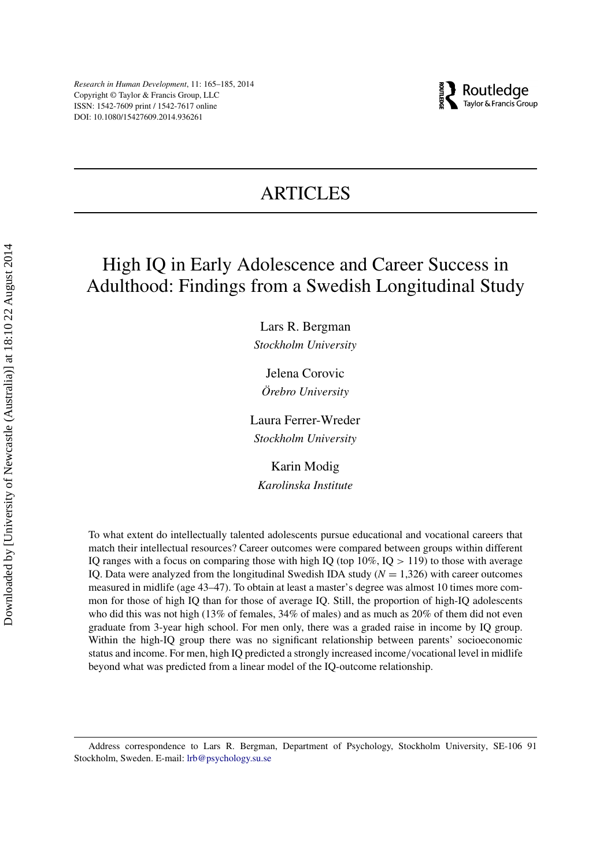

# ARTICLES

# High IQ in Early Adolescence and Career Success in Adulthood: Findings from a Swedish Longitudinal Study

Lars R. Bergman *Stockholm University*

Jelena Corovic *Örebro University*

Laura Ferrer-Wreder *Stockholm University*

Karin Modig *Karolinska Institute*

To what extent do intellectually talented adolescents pursue educational and vocational careers that match their intellectual resources? Career outcomes were compared between groups within different IQ ranges with a focus on comparing those with high IQ (top  $10\%$ , IQ  $> 119$ ) to those with average IQ. Data were analyzed from the longitudinal Swedish IDA study (*N* = 1,326) with career outcomes measured in midlife (age 43–47). To obtain at least a master's degree was almost 10 times more common for those of high IQ than for those of average IQ. Still, the proportion of high-IQ adolescents who did this was not high (13% of females, 34% of males) and as much as 20% of them did not even graduate from 3-year high school. For men only, there was a graded raise in income by IQ group. Within the high-IQ group there was no significant relationship between parents' socioeconomic status and income. For men, high IQ predicted a strongly increased income/vocational level in midlife beyond what was predicted from a linear model of the IQ-outcome relationship.

Address correspondence to Lars R. Bergman, Department of Psychology, Stockholm University, SE-106 91 Stockholm, Sweden. E-mail: [lrb@psychology.su.se](mailto:lrb@psychology.su.se)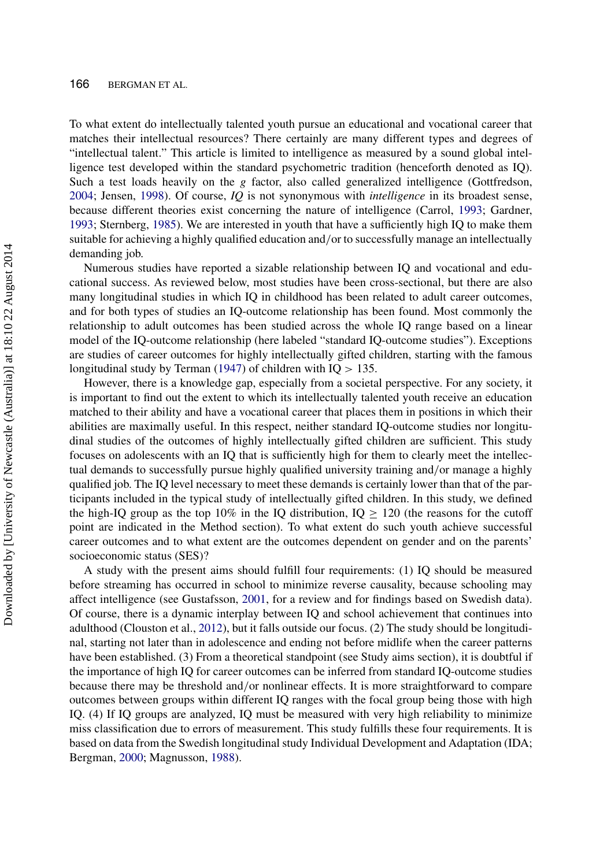To what extent do intellectually talented youth pursue an educational and vocational career that matches their intellectual resources? There certainly are many different types and degrees of "intellectual talent." This article is limited to intelligence as measured by a sound global intelligence test developed within the standard psychometric tradition (henceforth denoted as IQ). Such a test loads heavily on the *g* factor, also called generalized intelligence (Gottfredson, [2004;](#page-19-0) Jensen, [1998\)](#page-19-1). Of course, *IQ* is not synonymous with *intelligence* in its broadest sense, because different theories exist concerning the nature of intelligence (Carrol, [1993;](#page-19-2) Gardner, [1993;](#page-19-3) Sternberg, [1985\)](#page-20-0). We are interested in youth that have a sufficiently high IQ to make them suitable for achieving a highly qualified education and/or to successfully manage an intellectually demanding job.

Numerous studies have reported a sizable relationship between IQ and vocational and educational success. As reviewed below, most studies have been cross-sectional, but there are also many longitudinal studies in which IQ in childhood has been related to adult career outcomes, and for both types of studies an IQ-outcome relationship has been found. Most commonly the relationship to adult outcomes has been studied across the whole IQ range based on a linear model of the IQ-outcome relationship (here labeled "standard IQ-outcome studies"). Exceptions are studies of career outcomes for highly intellectually gifted children, starting with the famous longitudinal study by Terman [\(1947\)](#page-20-1) of children with  $IQ > 135$ .

However, there is a knowledge gap, especially from a societal perspective. For any society, it is important to find out the extent to which its intellectually talented youth receive an education matched to their ability and have a vocational career that places them in positions in which their abilities are maximally useful. In this respect, neither standard IQ-outcome studies nor longitudinal studies of the outcomes of highly intellectually gifted children are sufficient. This study focuses on adolescents with an IQ that is sufficiently high for them to clearly meet the intellectual demands to successfully pursue highly qualified university training and/or manage a highly qualified job. The IQ level necessary to meet these demands is certainly lower than that of the participants included in the typical study of intellectually gifted children. In this study, we defined the high-IQ group as the top 10% in the IQ distribution, IQ  $\geq$  120 (the reasons for the cutoff point are indicated in the Method section). To what extent do such youth achieve successful career outcomes and to what extent are the outcomes dependent on gender and on the parents' socioeconomic status (SES)?

A study with the present aims should fulfill four requirements: (1) IQ should be measured before streaming has occurred in school to minimize reverse causality, because schooling may affect intelligence (see Gustafsson, [2001,](#page-19-4) for a review and for findings based on Swedish data). Of course, there is a dynamic interplay between IQ and school achievement that continues into adulthood (Clouston et al., [2012\)](#page-19-5), but it falls outside our focus. (2) The study should be longitudinal, starting not later than in adolescence and ending not before midlife when the career patterns have been established. (3) From a theoretical standpoint (see Study aims section), it is doubtful if the importance of high IQ for career outcomes can be inferred from standard IQ-outcome studies because there may be threshold and/or nonlinear effects. It is more straightforward to compare outcomes between groups within different IQ ranges with the focal group being those with high IQ. (4) If IQ groups are analyzed, IQ must be measured with very high reliability to minimize miss classification due to errors of measurement. This study fulfills these four requirements. It is based on data from the Swedish longitudinal study Individual Development and Adaptation (IDA; Bergman, [2000;](#page-18-0) Magnusson, [1988\)](#page-19-6).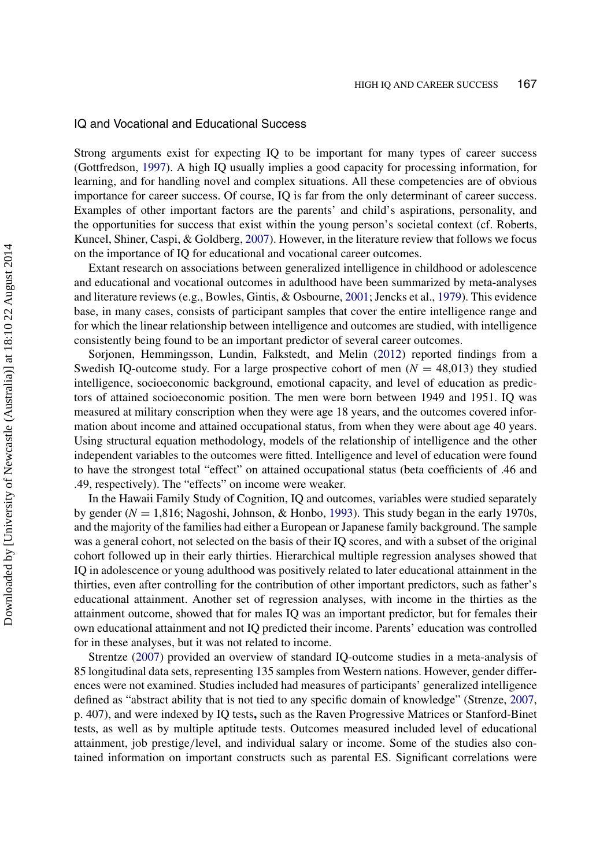# IQ and Vocational and Educational Success

Strong arguments exist for expecting IQ to be important for many types of career success (Gottfredson, [1997\)](#page-19-7). A high IQ usually implies a good capacity for processing information, for learning, and for handling novel and complex situations. All these competencies are of obvious importance for career success. Of course, IQ is far from the only determinant of career success. Examples of other important factors are the parents' and child's aspirations, personality, and the opportunities for success that exist within the young person's societal context (cf. Roberts, Kuncel, Shiner, Caspi, & Goldberg, [2007\)](#page-20-2). However, in the literature review that follows we focus on the importance of IQ for educational and vocational career outcomes.

Extant research on associations between generalized intelligence in childhood or adolescence and educational and vocational outcomes in adulthood have been summarized by meta-analyses and literature reviews (e.g., Bowles, Gintis, & Osbourne, [2001;](#page-19-8) Jencks et al., [1979\)](#page-19-9). This evidence base, in many cases, consists of participant samples that cover the entire intelligence range and for which the linear relationship between intelligence and outcomes are studied, with intelligence consistently being found to be an important predictor of several career outcomes.

Sorjonen, Hemmingsson, Lundin, Falkstedt, and Melin [\(2012\)](#page-20-3) reported findings from a Swedish IQ-outcome study. For a large prospective cohort of men  $(N = 48,013)$  they studied intelligence, socioeconomic background, emotional capacity, and level of education as predictors of attained socioeconomic position. The men were born between 1949 and 1951. IQ was measured at military conscription when they were age 18 years, and the outcomes covered information about income and attained occupational status, from when they were about age 40 years. Using structural equation methodology, models of the relationship of intelligence and the other independent variables to the outcomes were fitted. Intelligence and level of education were found to have the strongest total "effect" on attained occupational status (beta coefficients of .46 and .49, respectively). The "effects" on income were weaker.

In the Hawaii Family Study of Cognition, IQ and outcomes, variables were studied separately by gender (*N* = 1,816; Nagoshi, Johnson, & Honbo, [1993\)](#page-20-4). This study began in the early 1970s, and the majority of the families had either a European or Japanese family background. The sample was a general cohort, not selected on the basis of their IQ scores, and with a subset of the original cohort followed up in their early thirties. Hierarchical multiple regression analyses showed that IQ in adolescence or young adulthood was positively related to later educational attainment in the thirties, even after controlling for the contribution of other important predictors, such as father's educational attainment. Another set of regression analyses, with income in the thirties as the attainment outcome, showed that for males IQ was an important predictor, but for females their own educational attainment and not IQ predicted their income. Parents' education was controlled for in these analyses, but it was not related to income.

Strentze [\(2007\)](#page-20-5) provided an overview of standard IQ-outcome studies in a meta-analysis of 85 longitudinal data sets, representing 135 samples from Western nations. However, gender differences were not examined. Studies included had measures of participants' generalized intelligence defined as "abstract ability that is not tied to any specific domain of knowledge" (Strenze, [2007,](#page-20-5) p. 407), and were indexed by IQ tests**,** such as the Raven Progressive Matrices or Stanford-Binet tests, as well as by multiple aptitude tests. Outcomes measured included level of educational attainment, job prestige/level, and individual salary or income. Some of the studies also contained information on important constructs such as parental ES. Significant correlations were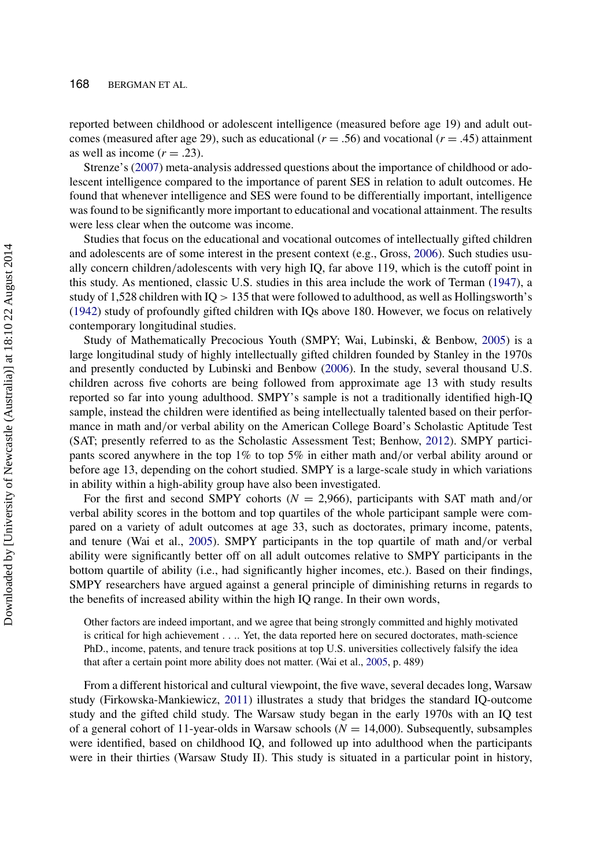reported between childhood or adolescent intelligence (measured before age 19) and adult outcomes (measured after age 29), such as educational  $(r = .56)$  and vocational  $(r = .45)$  attainment as well as income  $(r = .23)$ .

Strenze's [\(2007\)](#page-20-5) meta-analysis addressed questions about the importance of childhood or adolescent intelligence compared to the importance of parent SES in relation to adult outcomes. He found that whenever intelligence and SES were found to be differentially important, intelligence was found to be significantly more important to educational and vocational attainment. The results were less clear when the outcome was income.

Studies that focus on the educational and vocational outcomes of intellectually gifted children and adolescents are of some interest in the present context (e.g., Gross, [2006\)](#page-19-10). Such studies usually concern children/adolescents with very high IQ, far above 119, which is the cutoff point in this study. As mentioned, classic U.S. studies in this area include the work of Terman [\(1947\)](#page-20-1), a study of 1,528 children with  $IQ > 135$  that were followed to adulthood, as well as Hollingsworth's [\(1942\)](#page-19-11) study of profoundly gifted children with IQs above 180. However, we focus on relatively contemporary longitudinal studies.

Study of Mathematically Precocious Youth (SMPY; Wai, Lubinski, & Benbow, [2005\)](#page-20-6) is a large longitudinal study of highly intellectually gifted children founded by Stanley in the 1970s and presently conducted by Lubinski and Benbow [\(2006\)](#page-19-12). In the study, several thousand U.S. children across five cohorts are being followed from approximate age 13 with study results reported so far into young adulthood. SMPY's sample is not a traditionally identified high-IQ sample, instead the children were identified as being intellectually talented based on their performance in math and/or verbal ability on the American College Board's Scholastic Aptitude Test (SAT; presently referred to as the Scholastic Assessment Test; Benhow, [2012\)](#page-18-1). SMPY participants scored anywhere in the top 1% to top 5% in either math and/or verbal ability around or before age 13, depending on the cohort studied. SMPY is a large-scale study in which variations in ability within a high-ability group have also been investigated.

For the first and second SMPY cohorts ( $N = 2,966$ ), participants with SAT math and/or verbal ability scores in the bottom and top quartiles of the whole participant sample were compared on a variety of adult outcomes at age 33, such as doctorates, primary income, patents, and tenure (Wai et al., [2005\)](#page-20-6). SMPY participants in the top quartile of math and/or verbal ability were significantly better off on all adult outcomes relative to SMPY participants in the bottom quartile of ability (i.e., had significantly higher incomes, etc.). Based on their findings, SMPY researchers have argued against a general principle of diminishing returns in regards to the benefits of increased ability within the high IQ range. In their own words,

Other factors are indeed important, and we agree that being strongly committed and highly motivated is critical for high achievement .... Yet, the data reported here on secured doctorates, math-science PhD., income, patents, and tenure track positions at top U.S. universities collectively falsify the idea that after a certain point more ability does not matter. (Wai et al., [2005,](#page-20-6) p. 489)

From a different historical and cultural viewpoint, the five wave, several decades long, Warsaw study (Firkowska-Mankiewicz, [2011\)](#page-19-13) illustrates a study that bridges the standard IQ-outcome study and the gifted child study. The Warsaw study began in the early 1970s with an IQ test of a general cohort of 11-year-olds in Warsaw schools  $(N = 14,000)$ . Subsequently, subsamples were identified, based on childhood IQ, and followed up into adulthood when the participants were in their thirties (Warsaw Study II). This study is situated in a particular point in history,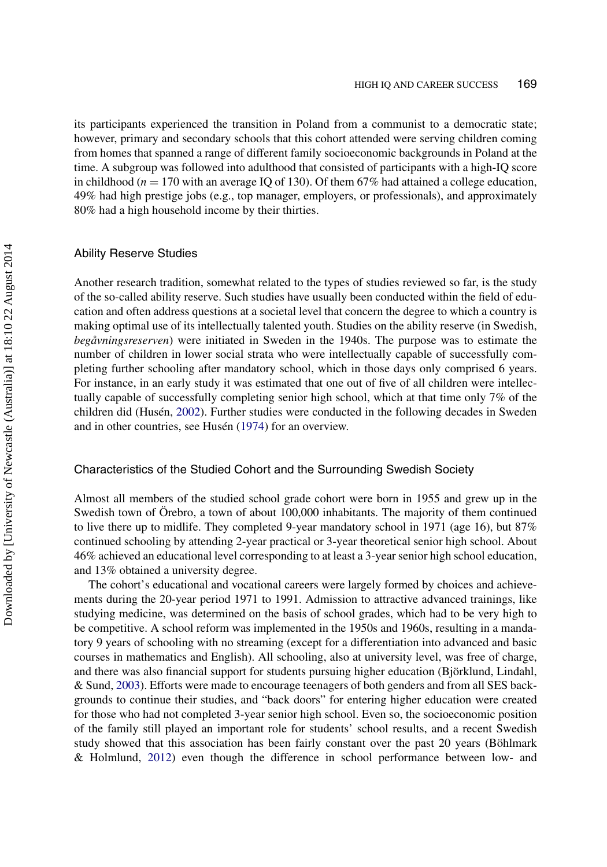its participants experienced the transition in Poland from a communist to a democratic state; however, primary and secondary schools that this cohort attended were serving children coming from homes that spanned a range of different family socioeconomic backgrounds in Poland at the time. A subgroup was followed into adulthood that consisted of participants with a high-IQ score in childhood ( $n = 170$  with an average IQ of 130). Of them 67% had attained a college education, 49% had high prestige jobs (e.g., top manager, employers, or professionals), and approximately 80% had a high household income by their thirties.

#### Ability Reserve Studies

Another research tradition, somewhat related to the types of studies reviewed so far, is the study of the so-called ability reserve. Such studies have usually been conducted within the field of education and often address questions at a societal level that concern the degree to which a country is making optimal use of its intellectually talented youth. Studies on the ability reserve (in Swedish, *begåvningsreserven*) were initiated in Sweden in the 1940s. The purpose was to estimate the number of children in lower social strata who were intellectually capable of successfully completing further schooling after mandatory school, which in those days only comprised 6 years. For instance, in an early study it was estimated that one out of five of all children were intellectually capable of successfully completing senior high school, which at that time only 7% of the children did (Husén, [2002\)](#page-19-14). Further studies were conducted in the following decades in Sweden and in other countries, see Husén [\(1974\)](#page-19-15) for an overview.

#### Characteristics of the Studied Cohort and the Surrounding Swedish Society

Almost all members of the studied school grade cohort were born in 1955 and grew up in the Swedish town of Örebro, a town of about 100,000 inhabitants. The majority of them continued to live there up to midlife. They completed 9-year mandatory school in 1971 (age 16), but 87% continued schooling by attending 2-year practical or 3-year theoretical senior high school. About 46% achieved an educational level corresponding to at least a 3-year senior high school education, and 13% obtained a university degree.

The cohort's educational and vocational careers were largely formed by choices and achievements during the 20-year period 1971 to 1991. Admission to attractive advanced trainings, like studying medicine, was determined on the basis of school grades, which had to be very high to be competitive. A school reform was implemented in the 1950s and 1960s, resulting in a mandatory 9 years of schooling with no streaming (except for a differentiation into advanced and basic courses in mathematics and English). All schooling, also at university level, was free of charge, and there was also financial support for students pursuing higher education (Björklund, Lindahl, & Sund, [2003\)](#page-18-2). Efforts were made to encourage teenagers of both genders and from all SES backgrounds to continue their studies, and "back doors" for entering higher education were created for those who had not completed 3-year senior high school. Even so, the socioeconomic position of the family still played an important role for students' school results, and a recent Swedish study showed that this association has been fairly constant over the past 20 years (Böhlmark & Holmlund, [2012\)](#page-19-16) even though the difference in school performance between low- and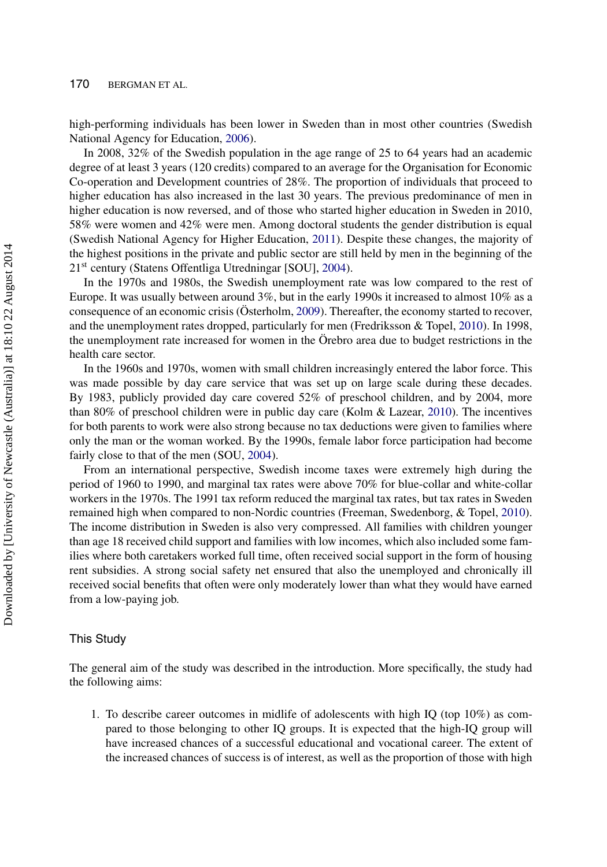#### 170 BERGMAN ET AL.

high-performing individuals has been lower in Sweden than in most other countries (Swedish National Agency for Education, [2006\)](#page-20-7).

In 2008, 32% of the Swedish population in the age range of 25 to 64 years had an academic degree of at least 3 years (120 credits) compared to an average for the Organisation for Economic Co-operation and Development countries of 28%. The proportion of individuals that proceed to higher education has also increased in the last 30 years. The previous predominance of men in higher education is now reversed, and of those who started higher education in Sweden in 2010, 58% were women and 42% were men. Among doctoral students the gender distribution is equal (Swedish National Agency for Higher Education, [2011\)](#page-20-8). Despite these changes, the majority of the highest positions in the private and public sector are still held by men in the beginning of the 21st century (Statens Offentliga Utredningar [SOU], [2004\)](#page-20-9).

In the 1970s and 1980s, the Swedish unemployment rate was low compared to the rest of Europe. It was usually between around 3%, but in the early 1990s it increased to almost 10% as a consequence of an economic crisis (Österholm, [2009\)](#page-20-10). Thereafter, the economy started to recover, and the unemployment rates dropped, particularly for men (Fredriksson & Topel, [2010\)](#page-19-17). In 1998, the unemployment rate increased for women in the Örebro area due to budget restrictions in the health care sector.

In the 1960s and 1970s, women with small children increasingly entered the labor force. This was made possible by day care service that was set up on large scale during these decades. By 1983, publicly provided day care covered 52% of preschool children, and by 2004, more than 80% of preschool children were in public day care (Kolm & Lazear, [2010\)](#page-19-18). The incentives for both parents to work were also strong because no tax deductions were given to families where only the man or the woman worked. By the 1990s, female labor force participation had become fairly close to that of the men (SOU, [2004\)](#page-20-9).

From an international perspective, Swedish income taxes were extremely high during the period of 1960 to 1990, and marginal tax rates were above 70% for blue-collar and white-collar workers in the 1970s. The 1991 tax reform reduced the marginal tax rates, but tax rates in Sweden remained high when compared to non-Nordic countries (Freeman, Swedenborg, & Topel, [2010\)](#page-19-19). The income distribution in Sweden is also very compressed. All families with children younger than age 18 received child support and families with low incomes, which also included some families where both caretakers worked full time, often received social support in the form of housing rent subsidies. A strong social safety net ensured that also the unemployed and chronically ill received social benefits that often were only moderately lower than what they would have earned from a low-paying job.

### This Study

The general aim of the study was described in the introduction. More specifically, the study had the following aims:

1. To describe career outcomes in midlife of adolescents with high IQ (top 10%) as compared to those belonging to other IQ groups. It is expected that the high-IQ group will have increased chances of a successful educational and vocational career. The extent of the increased chances of success is of interest, as well as the proportion of those with high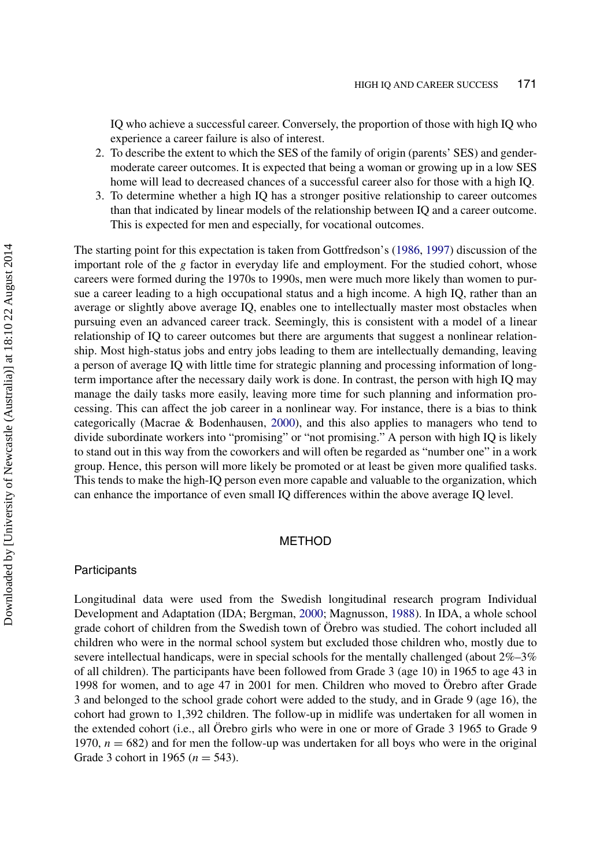IQ who achieve a successful career. Conversely, the proportion of those with high IQ who experience a career failure is also of interest.

- 2. To describe the extent to which the SES of the family of origin (parents' SES) and gendermoderate career outcomes. It is expected that being a woman or growing up in a low SES home will lead to decreased chances of a successful career also for those with a high IQ.
- 3. To determine whether a high IQ has a stronger positive relationship to career outcomes than that indicated by linear models of the relationship between IQ and a career outcome. This is expected for men and especially, for vocational outcomes.

The starting point for this expectation is taken from Gottfredson's [\(1986,](#page-19-20) [1997\)](#page-19-7) discussion of the important role of the *g* factor in everyday life and employment. For the studied cohort, whose careers were formed during the 1970s to 1990s, men were much more likely than women to pursue a career leading to a high occupational status and a high income. A high IQ, rather than an average or slightly above average IQ, enables one to intellectually master most obstacles when pursuing even an advanced career track. Seemingly, this is consistent with a model of a linear relationship of IQ to career outcomes but there are arguments that suggest a nonlinear relationship. Most high-status jobs and entry jobs leading to them are intellectually demanding, leaving a person of average IQ with little time for strategic planning and processing information of longterm importance after the necessary daily work is done. In contrast, the person with high IQ may manage the daily tasks more easily, leaving more time for such planning and information processing. This can affect the job career in a nonlinear way. For instance, there is a bias to think categorically (Macrae & Bodenhausen, [2000\)](#page-19-21), and this also applies to managers who tend to divide subordinate workers into "promising" or "not promising." A person with high IQ is likely to stand out in this way from the coworkers and will often be regarded as "number one" in a work group. Hence, this person will more likely be promoted or at least be given more qualified tasks. This tends to make the high-IQ person even more capable and valuable to the organization, which can enhance the importance of even small IQ differences within the above average IQ level.

## METHOD

#### **Participants**

Longitudinal data were used from the Swedish longitudinal research program Individual Development and Adaptation (IDA; Bergman, [2000;](#page-18-0) Magnusson, [1988\)](#page-19-6). In IDA, a whole school grade cohort of children from the Swedish town of Örebro was studied. The cohort included all children who were in the normal school system but excluded those children who, mostly due to severe intellectual handicaps, were in special schools for the mentally challenged (about 2%–3% of all children). The participants have been followed from Grade 3 (age 10) in 1965 to age 43 in 1998 for women, and to age 47 in 2001 for men. Children who moved to Örebro after Grade 3 and belonged to the school grade cohort were added to the study, and in Grade 9 (age 16), the cohort had grown to 1,392 children. The follow-up in midlife was undertaken for all women in the extended cohort (i.e., all Örebro girls who were in one or more of Grade 3 1965 to Grade 9 1970,  $n = 682$ ) and for men the follow-up was undertaken for all boys who were in the original Grade 3 cohort in 1965 ( $n = 543$ ).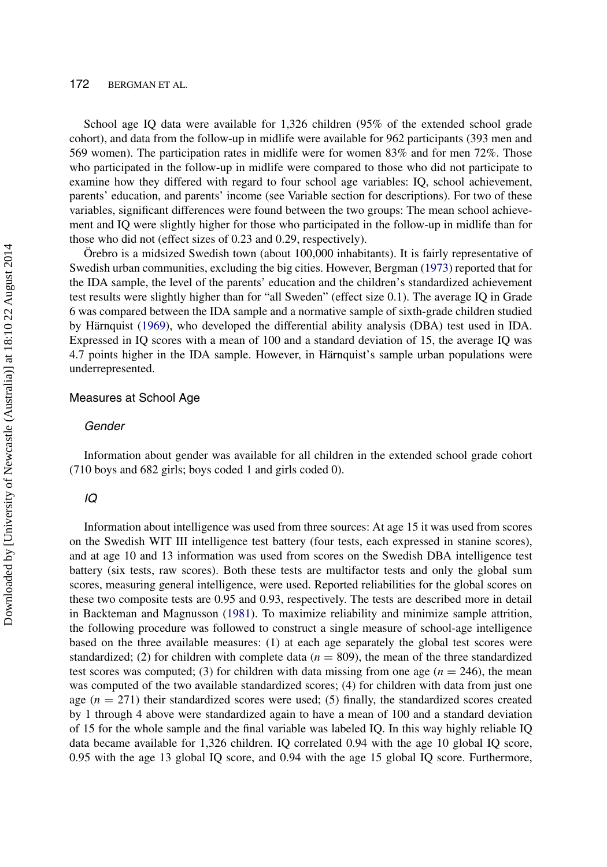#### 172 BERGMAN ET AL.

School age IQ data were available for 1,326 children (95% of the extended school grade cohort), and data from the follow-up in midlife were available for 962 participants (393 men and 569 women). The participation rates in midlife were for women 83% and for men 72%. Those who participated in the follow-up in midlife were compared to those who did not participate to examine how they differed with regard to four school age variables: IQ, school achievement, parents' education, and parents' income (see Variable section for descriptions). For two of these variables, significant differences were found between the two groups: The mean school achievement and IQ were slightly higher for those who participated in the follow-up in midlife than for those who did not (effect sizes of 0.23 and 0.29, respectively).

Örebro is a midsized Swedish town (about 100,000 inhabitants). It is fairly representative of Swedish urban communities, excluding the big cities. However, Bergman [\(1973\)](#page-18-3) reported that for the IDA sample, the level of the parents' education and the children's standardized achievement test results were slightly higher than for "all Sweden" (effect size 0.1). The average IQ in Grade 6 was compared between the IDA sample and a normative sample of sixth-grade children studied by Härnquist [\(1969\)](#page-19-22), who developed the differential ability analysis (DBA) test used in IDA. Expressed in IQ scores with a mean of 100 and a standard deviation of 15, the average IQ was 4.7 points higher in the IDA sample. However, in Härnquist's sample urban populations were underrepresented.

#### Measures at School Age

#### *Gender*

Information about gender was available for all children in the extended school grade cohort (710 boys and 682 girls; boys coded 1 and girls coded 0).

## *IQ*

Information about intelligence was used from three sources: At age 15 it was used from scores on the Swedish WIT III intelligence test battery (four tests, each expressed in stanine scores), and at age 10 and 13 information was used from scores on the Swedish DBA intelligence test battery (six tests, raw scores). Both these tests are multifactor tests and only the global sum scores, measuring general intelligence, were used. Reported reliabilities for the global scores on these two composite tests are 0.95 and 0.93, respectively. The tests are described more in detail in Backteman and Magnusson [\(1981\)](#page-18-4). To maximize reliability and minimize sample attrition, the following procedure was followed to construct a single measure of school-age intelligence based on the three available measures: (1) at each age separately the global test scores were standardized; (2) for children with complete data  $(n = 809)$ , the mean of the three standardized test scores was computed; (3) for children with data missing from one age ( $n = 246$ ), the mean was computed of the two available standardized scores; (4) for children with data from just one age  $(n = 271)$  their standardized scores were used; (5) finally, the standardized scores created by 1 through 4 above were standardized again to have a mean of 100 and a standard deviation of 15 for the whole sample and the final variable was labeled IQ. In this way highly reliable IQ data became available for 1,326 children. IQ correlated 0.94 with the age 10 global IQ score, 0.95 with the age 13 global IQ score, and 0.94 with the age 15 global IQ score. Furthermore,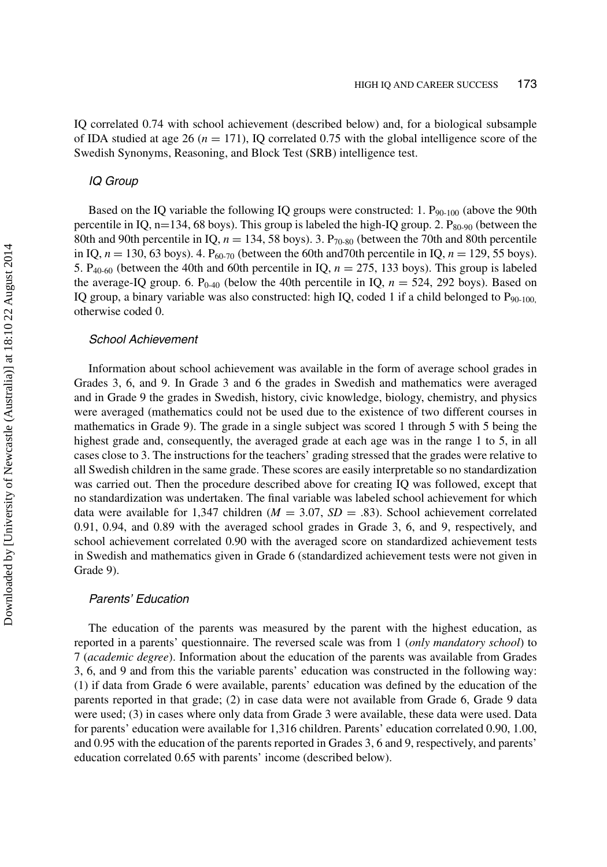IQ correlated 0.74 with school achievement (described below) and, for a biological subsample of IDA studied at age 26 ( $n = 171$ ), IQ correlated 0.75 with the global intelligence score of the Swedish Synonyms, Reasoning, and Block Test (SRB) intelligence test.

#### *IQ Group*

Based on the IQ variable the following IQ groups were constructed: 1.  $P_{90-100}$  (above the 90th percentile in IQ, n=134, 68 boys). This group is labeled the high-IQ group. 2.  $P_{80-90}$  (between the 80th and 90th percentile in IQ,  $n = 134$ , 58 boys). 3.  $P_{70-80}$  (between the 70th and 80th percentile in IQ,  $n = 130, 63$  boys). 4. P<sub>60-70</sub> (between the 60th and 70th percentile in IQ,  $n = 129, 55$  boys). 5.  $P_{40-60}$  (between the 40th and 60th percentile in IQ,  $n = 275$ , 133 boys). This group is labeled the average-IQ group. 6.  $P_{0-40}$  (below the 40th percentile in IQ,  $n = 524$ , 292 boys). Based on IQ group, a binary variable was also constructed: high IQ, coded 1 if a child belonged to  $P_{90-100}$ otherwise coded 0.

## *School Achievement*

Information about school achievement was available in the form of average school grades in Grades 3, 6, and 9. In Grade 3 and 6 the grades in Swedish and mathematics were averaged and in Grade 9 the grades in Swedish, history, civic knowledge, biology, chemistry, and physics were averaged (mathematics could not be used due to the existence of two different courses in mathematics in Grade 9). The grade in a single subject was scored 1 through 5 with 5 being the highest grade and, consequently, the averaged grade at each age was in the range 1 to 5, in all cases close to 3. The instructions for the teachers' grading stressed that the grades were relative to all Swedish children in the same grade. These scores are easily interpretable so no standardization was carried out. Then the procedure described above for creating IQ was followed, except that no standardization was undertaken. The final variable was labeled school achievement for which data were available for 1,347 children  $(M = 3.07, SD = .83)$ . School achievement correlated 0.91, 0.94, and 0.89 with the averaged school grades in Grade 3, 6, and 9, respectively, and school achievement correlated 0.90 with the averaged score on standardized achievement tests in Swedish and mathematics given in Grade 6 (standardized achievement tests were not given in Grade 9).

# *Parents' Education*

The education of the parents was measured by the parent with the highest education, as reported in a parents' questionnaire. The reversed scale was from 1 (*only mandatory school*) to 7 (*academic degree*). Information about the education of the parents was available from Grades 3, 6, and 9 and from this the variable parents' education was constructed in the following way: (1) if data from Grade 6 were available, parents' education was defined by the education of the parents reported in that grade; (2) in case data were not available from Grade 6, Grade 9 data were used; (3) in cases where only data from Grade 3 were available, these data were used. Data for parents' education were available for 1,316 children. Parents' education correlated 0.90, 1.00, and 0.95 with the education of the parents reported in Grades 3, 6 and 9, respectively, and parents' education correlated 0.65 with parents' income (described below).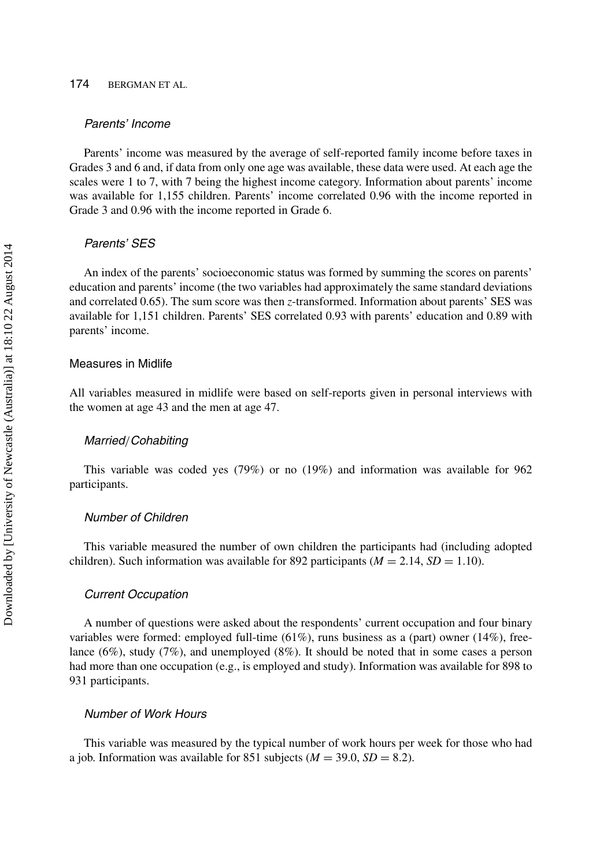## 174 BERGMAN ET AL.

#### *Parents' Income*

Parents' income was measured by the average of self-reported family income before taxes in Grades 3 and 6 and, if data from only one age was available, these data were used. At each age the scales were 1 to 7, with 7 being the highest income category. Information about parents' income was available for 1,155 children. Parents' income correlated 0.96 with the income reported in Grade 3 and 0.96 with the income reported in Grade 6.

#### *Parents' SES*

An index of the parents' socioeconomic status was formed by summing the scores on parents' education and parents' income (the two variables had approximately the same standard deviations and correlated 0.65). The sum score was then *z*-transformed. Information about parents' SES was available for 1,151 children. Parents' SES correlated 0.93 with parents' education and 0.89 with parents' income.

#### Measures in Midlife

All variables measured in midlife were based on self-reports given in personal interviews with the women at age 43 and the men at age 47.

## *Married*/*Cohabiting*

This variable was coded yes  $(79%)$  or no  $(19%)$  and information was available for 962 participants.

#### *Number of Children*

This variable measured the number of own children the participants had (including adopted children). Such information was available for 892 participants ( $M = 2.14$ ,  $SD = 1.10$ ).

## *Current Occupation*

A number of questions were asked about the respondents' current occupation and four binary variables were formed: employed full-time  $(61\%)$ , runs business as a (part) owner  $(14\%)$ , freelance (6%), study (7%), and unemployed (8%). It should be noted that in some cases a person had more than one occupation (e.g., is employed and study). Information was available for 898 to 931 participants.

#### *Number of Work Hours*

This variable was measured by the typical number of work hours per week for those who had a job. Information was available for 851 subjects ( $M = 39.0$ ,  $SD = 8.2$ ).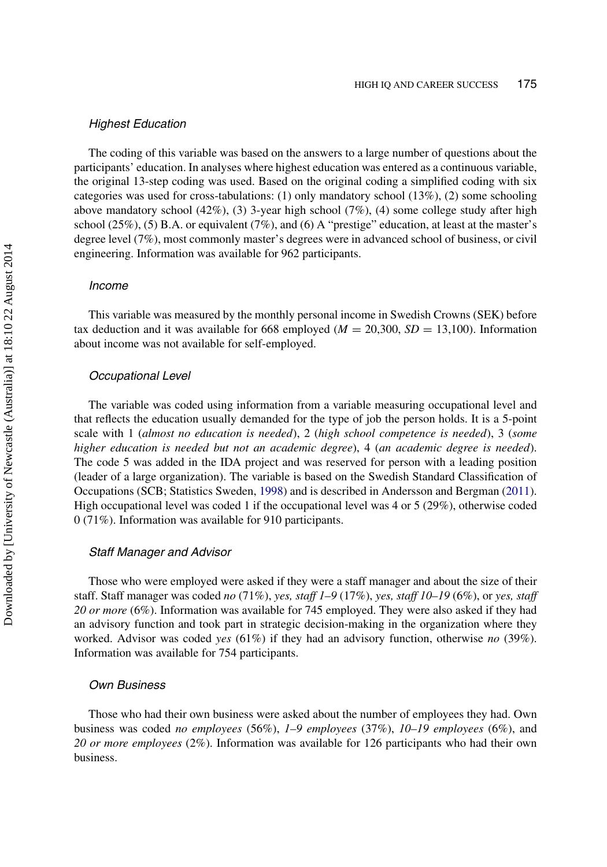# *Highest Education*

The coding of this variable was based on the answers to a large number of questions about the participants' education. In analyses where highest education was entered as a continuous variable, the original 13-step coding was used. Based on the original coding a simplified coding with six categories was used for cross-tabulations: (1) only mandatory school (13%), (2) some schooling above mandatory school (42%), (3) 3-year high school (7%), (4) some college study after high school (25%), (5) B.A. or equivalent (7%), and (6) A "prestige" education, at least at the master's degree level (7%), most commonly master's degrees were in advanced school of business, or civil engineering. Information was available for 962 participants.

#### *Income*

This variable was measured by the monthly personal income in Swedish Crowns (SEK) before tax deduction and it was available for 668 employed ( $M = 20,300, SD = 13,100$ ). Information about income was not available for self-employed.

#### *Occupational Level*

The variable was coded using information from a variable measuring occupational level and that reflects the education usually demanded for the type of job the person holds. It is a 5-point scale with 1 (*almost no education is needed*), 2 (*high school competence is needed*), 3 (*some higher education is needed but not an academic degree*), 4 (*an academic degree is needed*). The code 5 was added in the IDA project and was reserved for person with a leading position (leader of a large organization). The variable is based on the Swedish Standard Classification of Occupations (SCB; Statistics Sweden, [1998\)](#page-20-11) and is described in Andersson and Bergman [\(2011\)](#page-18-5). High occupational level was coded 1 if the occupational level was 4 or 5 (29%), otherwise coded 0 (71%). Information was available for 910 participants.

#### *Staff Manager and Advisor*

Those who were employed were asked if they were a staff manager and about the size of their staff. Staff manager was coded *no* (71%), *yes, staff 1–9* (17%), *yes, staff 10–19* (6%), or *yes, staff 20 or more* (6%). Information was available for 745 employed. They were also asked if they had an advisory function and took part in strategic decision-making in the organization where they worked. Advisor was coded *yes* (61%) if they had an advisory function, otherwise *no* (39%). Information was available for 754 participants.

## *Own Business*

Those who had their own business were asked about the number of employees they had. Own business was coded *no employees* (56%), *1–9 employees* (37%), *10–19 employees* (6%), and *20 or more employees* (2%). Information was available for 126 participants who had their own business.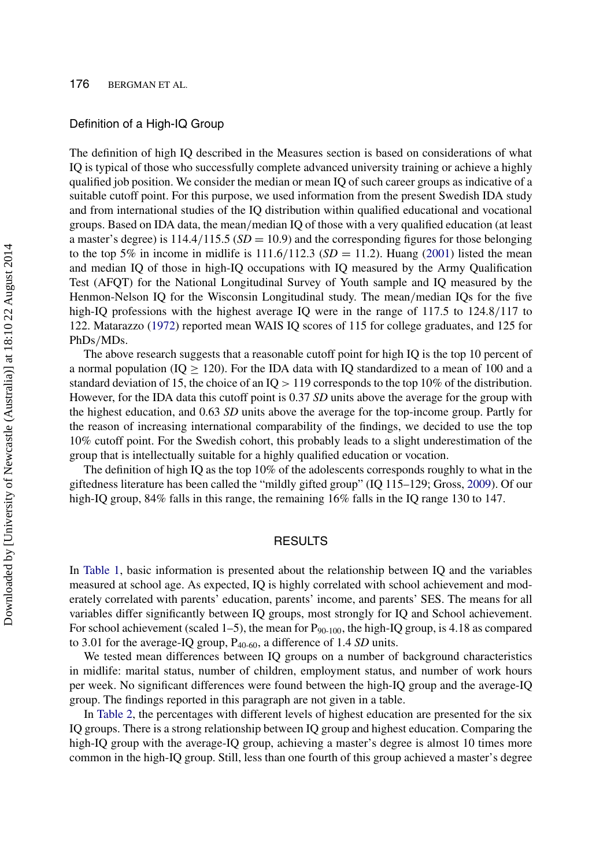# Definition of a High-IQ Group

The definition of high IQ described in the Measures section is based on considerations of what IQ is typical of those who successfully complete advanced university training or achieve a highly qualified job position. We consider the median or mean IQ of such career groups as indicative of a suitable cutoff point. For this purpose, we used information from the present Swedish IDA study and from international studies of the IQ distribution within qualified educational and vocational groups. Based on IDA data, the mean/median IQ of those with a very qualified education (at least a master's degree) is  $114.4/115.5$  ( $SD = 10.9$ ) and the corresponding figures for those belonging to the top 5% in income in midlife is  $111.6/112.3$  (*SD* = 11.2). Huang [\(2001\)](#page-19-23) listed the mean and median IQ of those in high-IQ occupations with IQ measured by the Army Qualification Test (AFQT) for the National Longitudinal Survey of Youth sample and IQ measured by the Henmon-Nelson IQ for the Wisconsin Longitudinal study. The mean/median IQs for the five high-IQ professions with the highest average IQ were in the range of 117.5 to 124.8/117 to 122. Matarazzo [\(1972\)](#page-20-12) reported mean WAIS IQ scores of 115 for college graduates, and 125 for PhDs/MDs.

The above research suggests that a reasonable cutoff point for high IQ is the top 10 percent of a normal population ( $IQ \geq 120$ ). For the IDA data with IQ standardized to a mean of 100 and a standard deviation of 15, the choice of an IQ  $> 119$  corresponds to the top 10% of the distribution. However, for the IDA data this cutoff point is 0.37 *SD* units above the average for the group with the highest education, and 0.63 *SD* units above the average for the top-income group. Partly for the reason of increasing international comparability of the findings, we decided to use the top 10% cutoff point. For the Swedish cohort, this probably leads to a slight underestimation of the group that is intellectually suitable for a highly qualified education or vocation.

The definition of high IQ as the top 10% of the adolescents corresponds roughly to what in the giftedness literature has been called the "mildly gifted group" (IQ 115–129; Gross, [2009\)](#page-19-24). Of our high-IQ group, 84% falls in this range, the remaining 16% falls in the IQ range 130 to 147.

# **RESULTS**

In [Table 1,](#page-12-0) basic information is presented about the relationship between IQ and the variables measured at school age. As expected, IQ is highly correlated with school achievement and moderately correlated with parents' education, parents' income, and parents' SES. The means for all variables differ significantly between IQ groups, most strongly for IQ and School achievement. For school achievement (scaled  $1-5$ ), the mean for  $P_{90-100}$ , the high-IQ group, is 4.18 as compared to 3.01 for the average-IQ group, P40-60, a difference of 1.4 *SD* units.

We tested mean differences between IQ groups on a number of background characteristics in midlife: marital status, number of children, employment status, and number of work hours per week. No significant differences were found between the high-IQ group and the average-IQ group. The findings reported in this paragraph are not given in a table.

In [Table 2,](#page-12-1) the percentages with different levels of highest education are presented for the six IQ groups. There is a strong relationship between IQ group and highest education. Comparing the high-IQ group with the average-IQ group, achieving a master's degree is almost 10 times more common in the high-IQ group. Still, less than one fourth of this group achieved a master's degree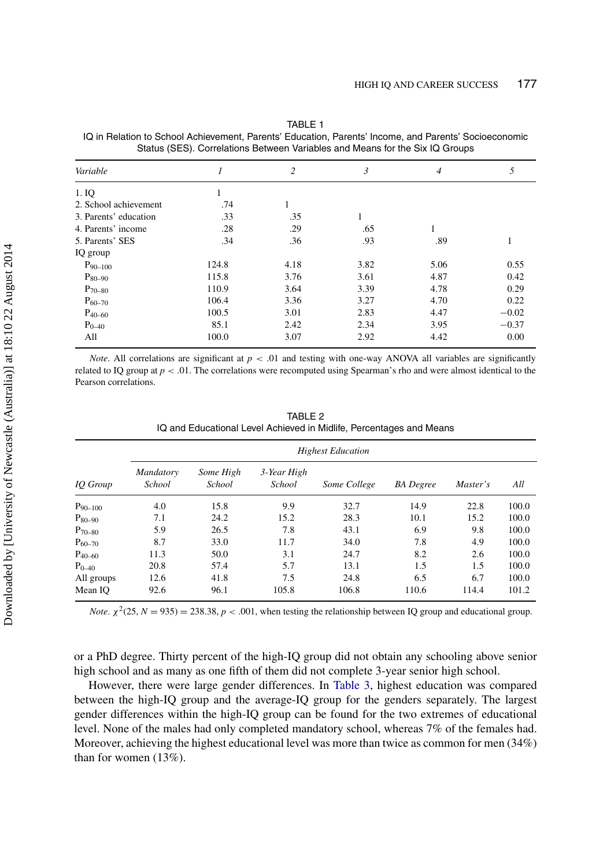| 1     | $\overline{c}$ | 3    | 4    | 5       |
|-------|----------------|------|------|---------|
|       |                |      |      |         |
| .74   | 1              |      |      |         |
| .33   | .35            | 1    |      |         |
| .28   | .29            | .65  |      |         |
| .34   | .36            | .93  | .89  | 1       |
|       |                |      |      |         |
| 124.8 | 4.18           | 3.82 | 5.06 | 0.55    |
| 115.8 | 3.76           | 3.61 | 4.87 | 0.42    |
| 110.9 | 3.64           | 3.39 | 4.78 | 0.29    |
| 106.4 | 3.36           | 3.27 | 4.70 | 0.22    |
| 100.5 | 3.01           | 2.83 | 4.47 | $-0.02$ |
| 85.1  | 2.42           | 2.34 | 3.95 | $-0.37$ |
| 100.0 | 3.07           | 2.92 | 4.42 | 0.00    |
|       |                |      |      |         |

<span id="page-12-0"></span>TABLE 1 IQ in Relation to School Achievement, Parents' Education, Parents' Income, and Parents' Socioeconomic Status (SES). Correlations Between Variables and Means for the Six IQ Groups

*Note*. All correlations are significant at  $p < 0.01$  and testing with one-way ANOVA all variables are significantly related to IQ group at  $p < .01$ . The correlations were recomputed using Spearman's rho and were almost identical to the Pearson correlations.

|                 | <b>Highest Education</b> |                     |                       |              |                  |          |       |  |  |
|-----------------|--------------------------|---------------------|-----------------------|--------------|------------------|----------|-------|--|--|
| <b>IQ</b> Group | Mandatory<br>School      | Some High<br>School | 3-Year High<br>School | Some College | <b>BA</b> Degree | Master's | All   |  |  |
| $P_{90-100}$    | 4.0                      | 15.8                | 9.9                   | 32.7         | 14.9             | 22.8     | 100.0 |  |  |
| $P_{80-90}$     | 7.1                      | 24.2                | 15.2                  | 28.3         | 10.1             | 15.2     | 100.0 |  |  |
| $P_{70-80}$     | 5.9                      | 26.5                | 7.8                   | 43.1         | 6.9              | 9.8      | 100.0 |  |  |
| $P_{60-70}$     | 8.7                      | 33.0                | 11.7                  | 34.0         | 7.8              | 4.9      | 100.0 |  |  |
| $P_{40-60}$     | 11.3                     | 50.0                | 3.1                   | 24.7         | 8.2              | 2.6      | 100.0 |  |  |
| $P_{0-40}$      | 20.8                     | 57.4                | 5.7                   | 13.1         | 1.5              | 1.5      | 100.0 |  |  |
| All groups      | 12.6                     | 41.8                | 7.5                   | 24.8         | 6.5              | 6.7      | 100.0 |  |  |
| Mean IO         | 92.6                     | 96.1                | 105.8                 | 106.8        | 110.6            | 114.4    | 101.2 |  |  |

<span id="page-12-1"></span>TABLE 2 IQ and Educational Level Achieved in Midlife, Percentages and Means

*Note.*  $\chi^2$ (25, *N* = 935) = 238.38, *p* < .001, when testing the relationship between IQ group and educational group.

or a PhD degree. Thirty percent of the high-IQ group did not obtain any schooling above senior high school and as many as one fifth of them did not complete 3-year senior high school.

However, there were large gender differences. In [Table 3,](#page-13-0) highest education was compared between the high-IQ group and the average-IQ group for the genders separately. The largest gender differences within the high-IQ group can be found for the two extremes of educational level. None of the males had only completed mandatory school, whereas 7% of the females had. Moreover, achieving the highest educational level was more than twice as common for men (34%) than for women (13%).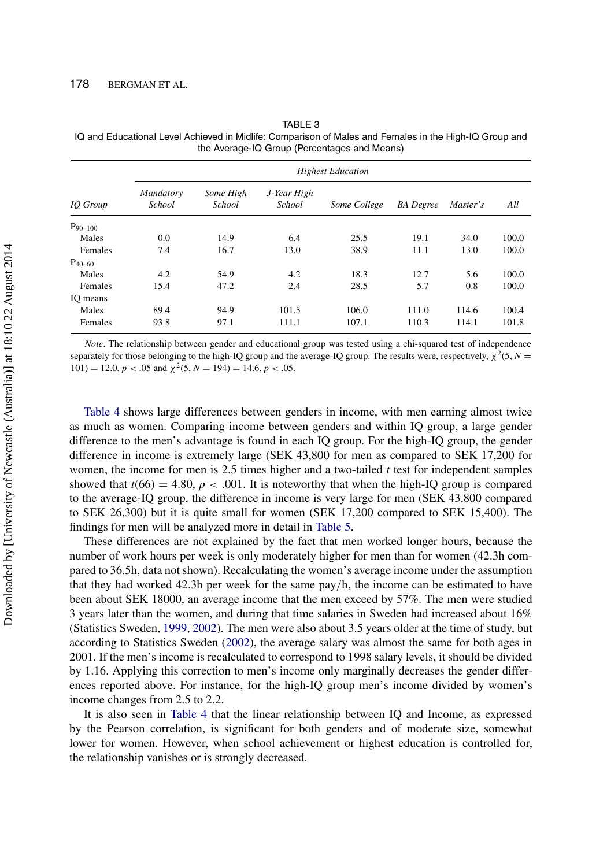| <b>IQ</b> Group | <b>Highest Education</b> |                     |                       |              |                  |          |       |  |  |
|-----------------|--------------------------|---------------------|-----------------------|--------------|------------------|----------|-------|--|--|
|                 | Mandatory<br>School      | Some High<br>School | 3-Year High<br>School | Some College | <b>BA</b> Degree | Master's | All   |  |  |
| $P_{90-100}$    |                          |                     |                       |              |                  |          |       |  |  |
| Males           | 0.0                      | 14.9                | 6.4                   | 25.5         | 19.1             | 34.0     | 100.0 |  |  |
| Females         | 7.4                      | 16.7                | 13.0                  | 38.9         | 11.1             | 13.0     | 100.0 |  |  |
| $P_{40-60}$     |                          |                     |                       |              |                  |          |       |  |  |
| Males           | 4.2                      | 54.9                | 4.2                   | 18.3         | 12.7             | 5.6      | 100.0 |  |  |
| Females         | 15.4                     | 47.2                | 2.4                   | 28.5         | 5.7              | 0.8      | 100.0 |  |  |
| IQ means        |                          |                     |                       |              |                  |          |       |  |  |
| Males           | 89.4                     | 94.9                | 101.5                 | 106.0        | 111.0            | 114.6    | 100.4 |  |  |
| Females         | 93.8                     | 97.1                | 111.1                 | 107.1        | 110.3            | 114.1    | 101.8 |  |  |

<span id="page-13-0"></span>

| TABI F 3                                                                                               |
|--------------------------------------------------------------------------------------------------------|
| IQ and Educational Level Achieved in Midlife: Comparison of Males and Females in the High-IQ Group and |
| the Average-IQ Group (Percentages and Means)                                                           |

*Note*. The relationship between gender and educational group was tested using a chi-squared test of independence separately for those belonging to the high-IQ group and the average-IQ group. The results were, respectively,  $\chi^2(5, N = 1)$  $101$ ) = 12.0, *p* < .05 and  $\chi^2$ (5, *N* = 194) = 14.6, *p* < .05.

[Table 4](#page-14-0) shows large differences between genders in income, with men earning almost twice as much as women. Comparing income between genders and within IQ group, a large gender difference to the men's advantage is found in each IQ group. For the high-IQ group, the gender difference in income is extremely large (SEK 43,800 for men as compared to SEK 17,200 for women, the income for men is 2.5 times higher and a two-tailed *t* test for independent samples showed that  $t(66) = 4.80$ ,  $p < .001$ . It is noteworthy that when the high-IQ group is compared to the average-IQ group, the difference in income is very large for men (SEK 43,800 compared to SEK 26,300) but it is quite small for women (SEK 17,200 compared to SEK 15,400). The findings for men will be analyzed more in detail in [Table 5.](#page-15-0)

These differences are not explained by the fact that men worked longer hours, because the number of work hours per week is only moderately higher for men than for women (42.3h compared to 36.5h, data not shown). Recalculating the women's average income under the assumption that they had worked 42.3h per week for the same pay/h, the income can be estimated to have been about SEK 18000, an average income that the men exceed by 57%. The men were studied 3 years later than the women, and during that time salaries in Sweden had increased about 16% (Statistics Sweden, [1999,](#page-20-13) [2002\)](#page-20-14). The men were also about 3.5 years older at the time of study, but according to Statistics Sweden [\(2002\)](#page-20-14), the average salary was almost the same for both ages in 2001. If the men's income is recalculated to correspond to 1998 salary levels, it should be divided by 1.16. Applying this correction to men's income only marginally decreases the gender differences reported above. For instance, for the high-IQ group men's income divided by women's income changes from 2.5 to 2.2.

It is also seen in [Table 4](#page-14-0) that the linear relationship between IQ and Income, as expressed by the Pearson correlation, is significant for both genders and of moderate size, somewhat lower for women. However, when school achievement or highest education is controlled for, the relationship vanishes or is strongly decreased.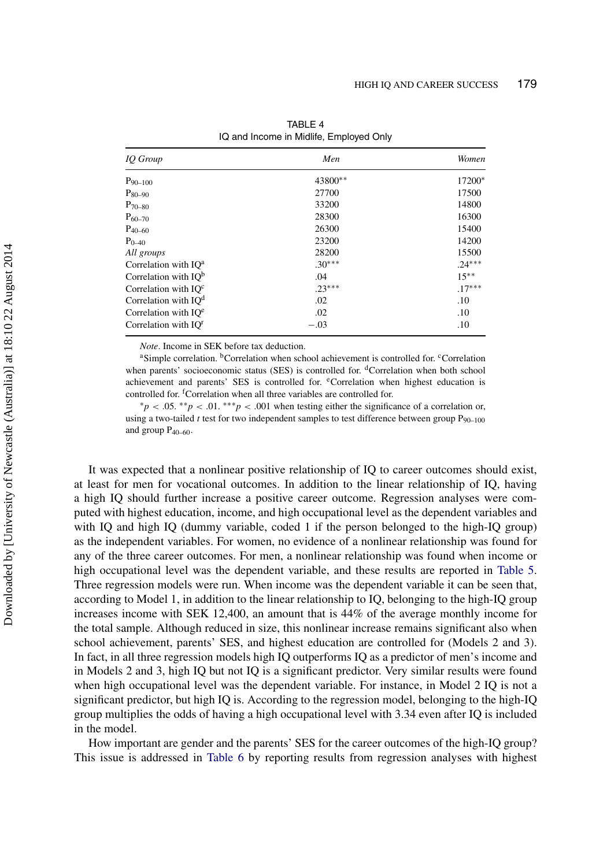| <b>IQ</b> Group                  | Men      | Women    |  |
|----------------------------------|----------|----------|--|
| $P_{90-100}$                     | 43800**  | 17200*   |  |
| $P_{80-90}$                      | 27700    | 17500    |  |
| $P_{70-80}$                      | 33200    | 14800    |  |
| $P_{60-70}$                      | 28300    | 16300    |  |
| $P_{40-60}$                      | 26300    | 15400    |  |
| $P_{0-40}$                       | 23200    | 14200    |  |
| All groups                       | 28200    | 15500    |  |
| Correlation with IO <sup>a</sup> | $.30***$ | $24***$  |  |
| Correlation with $IQ^b$          | .04      | $15***$  |  |
| Correlation with IO <sup>c</sup> | $23***$  | $.17***$ |  |
| Correlation with $IOd$           | .02      | .10      |  |
| Correlation with IO <sup>e</sup> | .02      | .10      |  |
| Correlation with IO <sup>r</sup> | $-.03$   | .10      |  |

<span id="page-14-0"></span>TABLE 4 IQ and Income in Midlife, Employed Only

*Note*. Income in SEK before tax deduction.

<sup>a</sup>Simple correlation. <sup>b</sup>Correlation when school achievement is controlled for. <sup>c</sup>Correlation when parents' socioeconomic status (SES) is controlled for.  ${}^{d}$ Correlation when both school achievement and parents' SES is controlled for. <sup>e</sup>Correlation when highest education is controlled for. <sup>f</sup> Correlation when all three variables are controlled for.

 $p^*p < 0.05$ . \*\**p* < .01. \*\*\**p* < .001 when testing either the significance of a correlation or, using a two-tailed *t* test for two independent samples to test difference between group  $P_{90-100}$ and group  $P_{40-60}$ .

It was expected that a nonlinear positive relationship of IQ to career outcomes should exist, at least for men for vocational outcomes. In addition to the linear relationship of IQ, having a high IQ should further increase a positive career outcome. Regression analyses were computed with highest education, income, and high occupational level as the dependent variables and with IQ and high IQ (dummy variable, coded 1 if the person belonged to the high-IQ group) as the independent variables. For women, no evidence of a nonlinear relationship was found for any of the three career outcomes. For men, a nonlinear relationship was found when income or high occupational level was the dependent variable, and these results are reported in [Table 5.](#page-15-1) Three regression models were run. When income was the dependent variable it can be seen that, according to Model 1, in addition to the linear relationship to IQ, belonging to the high-IQ group increases income with SEK 12,400, an amount that is 44% of the average monthly income for the total sample. Although reduced in size, this nonlinear increase remains significant also when school achievement, parents' SES, and highest education are controlled for (Models 2 and 3). In fact, in all three regression models high IQ outperforms IQ as a predictor of men's income and in Models 2 and 3, high IQ but not IQ is a significant predictor. Very similar results were found when high occupational level was the dependent variable. For instance, in Model 2 IQ is not a significant predictor, but high IQ is. According to the regression model, belonging to the high-IQ group multiplies the odds of having a high occupational level with 3.34 even after IQ is included in the model.

How important are gender and the parents' SES for the career outcomes of the high-IQ group? This issue is addressed in [Table 6](#page-15-0) by reporting results from regression analyses with highest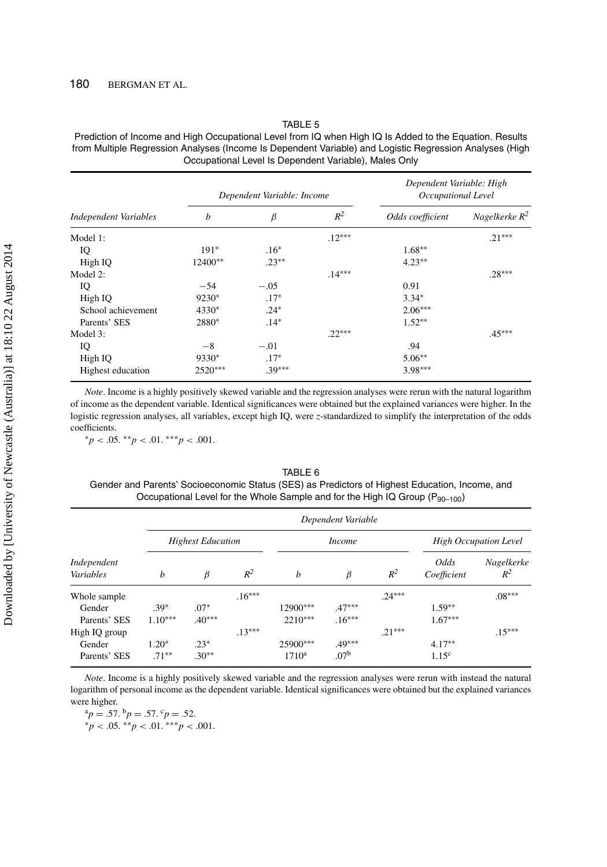<span id="page-15-0"></span>TABLE 5

Prediction of Income and High Occupational Level from IQ when High IQ Is Added to the Equation. Results from Multiple Regression Analyses (Income Is Dependent Variable) and Logistic Regression Analyses (High Occupational Level Is Dependent Variable), Males Only

|                       |         | Dependent Variable: Income | Dependent Variable: High<br>Occupational Level |                  |                  |  |
|-----------------------|---------|----------------------------|------------------------------------------------|------------------|------------------|--|
| Independent Variables | b       | β                          | $R^2$                                          | Odds coefficient | Nagelkerke $R^2$ |  |
| Model 1:              |         |                            | $.12***$                                       |                  | $.21***$         |  |
| IQ                    | $191*$  | $.16*$                     |                                                | $1.68**$         |                  |  |
| High IQ               | 12400** | $.23**$                    |                                                | $4.23**$         |                  |  |
| Model 2:              |         |                            | $.14***$                                       |                  | $.28***$         |  |
| IQ                    | $-54$   | $-.05$                     |                                                | 0.91             |                  |  |
| High IQ               | 9230*   | $.17*$                     |                                                | $3.34*$          |                  |  |
| School achievement    | 4330*   | $.24*$                     |                                                | $2.06***$        |                  |  |
| Parents' SES          | 2880*   | $.14*$                     |                                                | $1.52**$         |                  |  |
| Model 3:              |         |                            | $.22***$                                       |                  | $.45***$         |  |
| IQ                    | $-8$    | $-.01$                     |                                                | .94              |                  |  |
| High IQ               | 9330*   | $.17*$                     |                                                | $5.06**$         |                  |  |
| Highest education     | 2520*** | $.39***$                   |                                                | $3.98***$        |                  |  |

*Note*. Income is a highly positively skewed variable and the regression analyses were rerun with the natural logarithm of income as the dependent variable. Identical significances were obtained but the explained variances were higher. In the logistic regression analyses, all variables, except high IQ, were *z*-standardized to simplify the interpretation of the odds coefficients.

∗*p* < .05. ∗∗*p* < .01. ∗∗∗*p* < .001.

# <span id="page-15-1"></span>TABLE 6

Gender and Parents' Socioeconomic Status (SES) as Predictors of Highest Education, Income, and Occupational Level for the Whole Sample and for the High IQ Group (P<sub>90–100</sub>)

| Independent<br>Variables | Dependent Variable       |          |               |                  |                  |                              |                     |                     |
|--------------------------|--------------------------|----------|---------------|------------------|------------------|------------------------------|---------------------|---------------------|
|                          | <b>Highest Education</b> |          | <i>Income</i> |                  |                  | <b>High Occupation Level</b> |                     |                     |
|                          | b                        | β        | $R^2$         | $\boldsymbol{b}$ | β                | $R^2$                        | Odds<br>Coefficient | Nagelkerke<br>$R^2$ |
| Whole sample             |                          |          | $.16***$      |                  |                  | $24***$                      |                     | $.08***$            |
| Gender                   | $.39*$                   | $.07*$   |               | 12900***         | $.47***$         |                              | $1.59**$            |                     |
| Parents' SES             | $1.10***$                | $.40***$ |               | $2210***$        | $.16***$         |                              | $1.67***$           |                     |
| High IQ group            |                          |          | $.13***$      |                  |                  | $.21***$                     |                     | $.15***$            |
| Gender                   | $1.20*$                  | $.23*$   |               | 25900***         | $.49***$         |                              | $4.17**$            |                     |
| Parents' SES             | $.71***$                 | $.30**$  |               | $1710^a$         | .07 <sup>b</sup> |                              | 1.15 <sup>c</sup>   |                     |

*Note*. Income is a highly positively skewed variable and the regression analyses were rerun with instead the natural logarithm of personal income as the dependent variable. Identical significances were obtained but the explained variances were higher.

 ${}^{a}p = .57.$  <sup>b</sup> $p = .57.$  <sup>c</sup> $p = .52.$ <br>\* $p < .05.$  \*\* $p < .01.$  \*\*\* $p < .001.$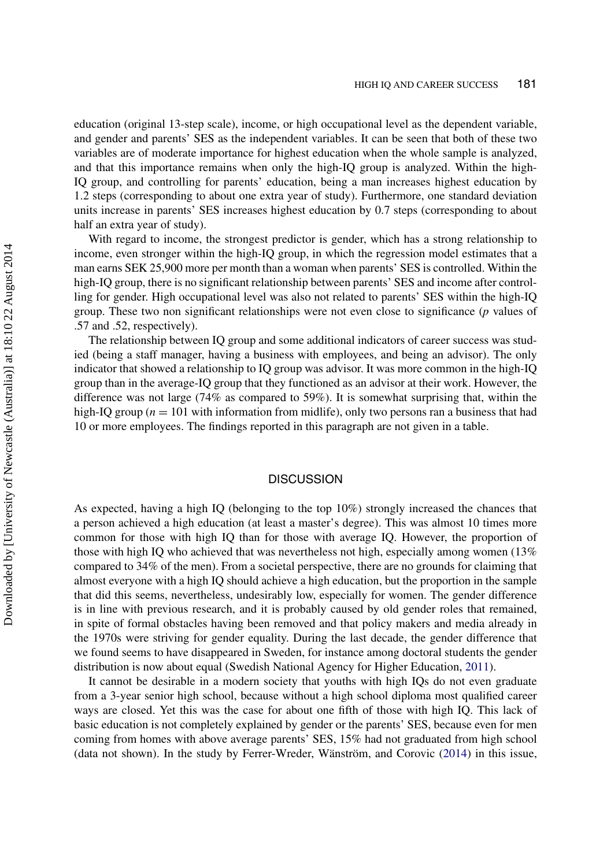education (original 13-step scale), income, or high occupational level as the dependent variable, and gender and parents' SES as the independent variables. It can be seen that both of these two variables are of moderate importance for highest education when the whole sample is analyzed, and that this importance remains when only the high-IQ group is analyzed. Within the high-IQ group, and controlling for parents' education, being a man increases highest education by 1.2 steps (corresponding to about one extra year of study). Furthermore, one standard deviation units increase in parents' SES increases highest education by 0.7 steps (corresponding to about half an extra year of study).

With regard to income, the strongest predictor is gender, which has a strong relationship to income, even stronger within the high-IQ group, in which the regression model estimates that a man earns SEK 25,900 more per month than a woman when parents' SES is controlled. Within the high-IQ group, there is no significant relationship between parents' SES and income after controlling for gender. High occupational level was also not related to parents' SES within the high-IQ group. These two non significant relationships were not even close to significance (*p* values of .57 and .52, respectively).

The relationship between IQ group and some additional indicators of career success was studied (being a staff manager, having a business with employees, and being an advisor). The only indicator that showed a relationship to IQ group was advisor. It was more common in the high-IQ group than in the average-IQ group that they functioned as an advisor at their work. However, the difference was not large (74% as compared to 59%). It is somewhat surprising that, within the high-IQ group ( $n = 101$  with information from midlife), only two persons ran a business that had 10 or more employees. The findings reported in this paragraph are not given in a table.

#### **DISCUSSION**

As expected, having a high IQ (belonging to the top 10%) strongly increased the chances that a person achieved a high education (at least a master's degree). This was almost 10 times more common for those with high IQ than for those with average IQ. However, the proportion of those with high IQ who achieved that was nevertheless not high, especially among women (13% compared to 34% of the men). From a societal perspective, there are no grounds for claiming that almost everyone with a high IQ should achieve a high education, but the proportion in the sample that did this seems, nevertheless, undesirably low, especially for women. The gender difference is in line with previous research, and it is probably caused by old gender roles that remained, in spite of formal obstacles having been removed and that policy makers and media already in the 1970s were striving for gender equality. During the last decade, the gender difference that we found seems to have disappeared in Sweden, for instance among doctoral students the gender distribution is now about equal (Swedish National Agency for Higher Education, [2011\)](#page-20-8).

It cannot be desirable in a modern society that youths with high IQs do not even graduate from a 3-year senior high school, because without a high school diploma most qualified career ways are closed. Yet this was the case for about one fifth of those with high IQ. This lack of basic education is not completely explained by gender or the parents' SES, because even for men coming from homes with above average parents' SES, 15% had not graduated from high school (data not shown). In the study by Ferrer-Wreder, Wänström, and Corovic [\(2014\)](#page-19-25) in this issue,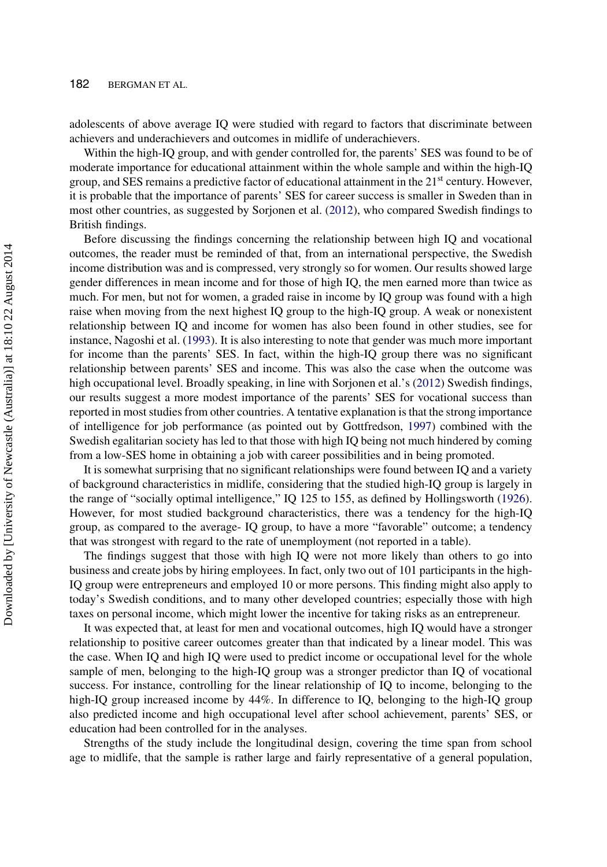adolescents of above average IQ were studied with regard to factors that discriminate between achievers and underachievers and outcomes in midlife of underachievers.

Within the high-IQ group, and with gender controlled for, the parents' SES was found to be of moderate importance for educational attainment within the whole sample and within the high-IQ group, and SES remains a predictive factor of educational attainment in the  $21<sup>st</sup>$  century. However, it is probable that the importance of parents' SES for career success is smaller in Sweden than in most other countries, as suggested by Sorjonen et al. [\(2012\)](#page-20-3), who compared Swedish findings to British findings.

Before discussing the findings concerning the relationship between high IQ and vocational outcomes, the reader must be reminded of that, from an international perspective, the Swedish income distribution was and is compressed, very strongly so for women. Our results showed large gender differences in mean income and for those of high IQ, the men earned more than twice as much. For men, but not for women, a graded raise in income by IQ group was found with a high raise when moving from the next highest IQ group to the high-IQ group. A weak or nonexistent relationship between IQ and income for women has also been found in other studies, see for instance, Nagoshi et al. [\(1993\)](#page-20-4). It is also interesting to note that gender was much more important for income than the parents' SES. In fact, within the high-IQ group there was no significant relationship between parents' SES and income. This was also the case when the outcome was high occupational level. Broadly speaking, in line with Sorjonen et al.'s [\(2012\)](#page-20-3) Swedish findings, our results suggest a more modest importance of the parents' SES for vocational success than reported in most studies from other countries. A tentative explanation is that the strong importance of intelligence for job performance (as pointed out by Gottfredson, [1997\)](#page-19-7) combined with the Swedish egalitarian society has led to that those with high IQ being not much hindered by coming from a low-SES home in obtaining a job with career possibilities and in being promoted.

It is somewhat surprising that no significant relationships were found between IQ and a variety of background characteristics in midlife, considering that the studied high-IQ group is largely in the range of "socially optimal intelligence," IQ 125 to 155, as defined by Hollingsworth [\(1926\)](#page-19-26). However, for most studied background characteristics, there was a tendency for the high-IQ group, as compared to the average- IQ group, to have a more "favorable" outcome; a tendency that was strongest with regard to the rate of unemployment (not reported in a table).

The findings suggest that those with high IQ were not more likely than others to go into business and create jobs by hiring employees. In fact, only two out of 101 participants in the high-IQ group were entrepreneurs and employed 10 or more persons. This finding might also apply to today's Swedish conditions, and to many other developed countries; especially those with high taxes on personal income, which might lower the incentive for taking risks as an entrepreneur.

It was expected that, at least for men and vocational outcomes, high IQ would have a stronger relationship to positive career outcomes greater than that indicated by a linear model. This was the case. When IQ and high IQ were used to predict income or occupational level for the whole sample of men, belonging to the high-IQ group was a stronger predictor than IQ of vocational success. For instance, controlling for the linear relationship of IQ to income, belonging to the high-IQ group increased income by  $44\%$ . In difference to IQ, belonging to the high-IQ group also predicted income and high occupational level after school achievement, parents' SES, or education had been controlled for in the analyses.

Strengths of the study include the longitudinal design, covering the time span from school age to midlife, that the sample is rather large and fairly representative of a general population,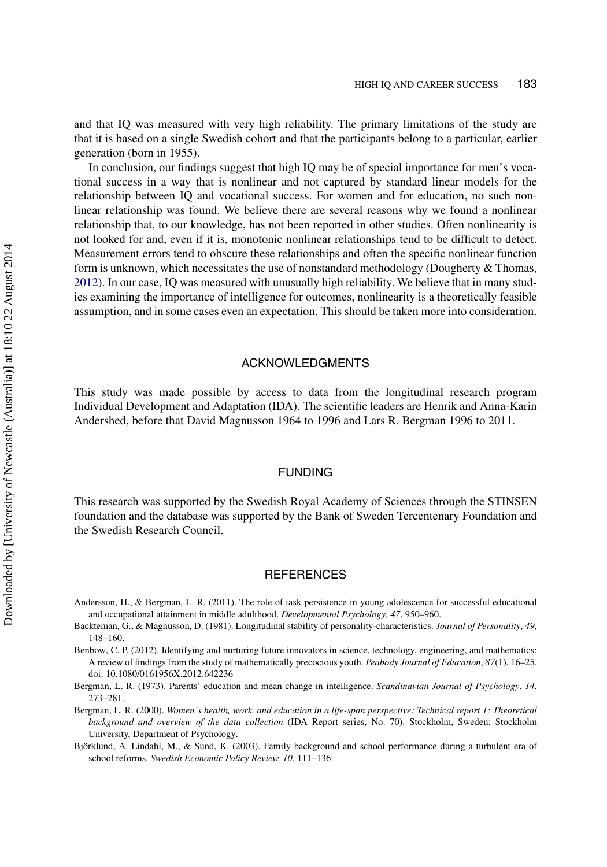and that IQ was measured with very high reliability. The primary limitations of the study are that it is based on a single Swedish cohort and that the participants belong to a particular, earlier generation (born in 1955).

In conclusion, our findings suggest that high IQ may be of special importance for men's vocational success in a way that is nonlinear and not captured by standard linear models for the relationship between IQ and vocational success. For women and for education, no such nonlinear relationship was found. We believe there are several reasons why we found a nonlinear relationship that, to our knowledge, has not been reported in other studies. Often nonlinearity is not looked for and, even if it is, monotonic nonlinear relationships tend to be difficult to detect. Measurement errors tend to obscure these relationships and often the specific nonlinear function form is unknown, which necessitates the use of nonstandard methodology (Dougherty & Thomas, [2012\)](#page-19-27). In our case, IQ was measured with unusually high reliability. We believe that in many studies examining the importance of intelligence for outcomes, nonlinearity is a theoretically feasible assumption, and in some cases even an expectation. This should be taken more into consideration.

# ACKNOWLEDGMENTS

This study was made possible by access to data from the longitudinal research program Individual Development and Adaptation (IDA). The scientific leaders are Henrik and Anna-Karin Andershed, before that David Magnusson 1964 to 1996 and Lars R. Bergman 1996 to 2011.

# FUNDING

This research was supported by the Swedish Royal Academy of Sciences through the STINSEN foundation and the database was supported by the Bank of Sweden Tercentenary Foundation and the Swedish Research Council.

## **REFERENCES**

- <span id="page-18-5"></span>Andersson, H., & Bergman, L. R. (2011). The role of task persistence in young adolescence for successful educational and occupational attainment in middle adulthood. *Developmental Psychology*, *47*, 950–960.
- <span id="page-18-4"></span>Backteman, G., & Magnusson, D. (1981). Longitudinal stability of personality-characteristics. *Journal of Personality*, *49*, 148–160.
- <span id="page-18-1"></span>Benbow, C. P. (2012). Identifying and nurturing future innovators in science, technology, engineering, and mathematics: A review of findings from the study of mathematically precocious youth. *Peabody Journal of Education*, *87*(1), 16–25. doi: 10.1080/0161956X.2012.642236
- <span id="page-18-3"></span>Bergman, L. R. (1973). Parents' education and mean change in intelligence. *Scandinavian Journal of Psychology*, *14*, 273–281.
- <span id="page-18-0"></span>Bergman, L. R. (2000). *Women's health, work, and education in a life-span perspective: Technical report 1: Theoretical background and overview of the data collection* (IDA Report series, No. 70). Stockholm, Sweden: Stockholm University, Department of Psychology.
- <span id="page-18-2"></span>Björklund, A. Lindahl, M., & Sund, K. (2003). Family background and school performance during a turbulent era of school reforms. *Swedish Economic Policy Review, 10*, 111–136.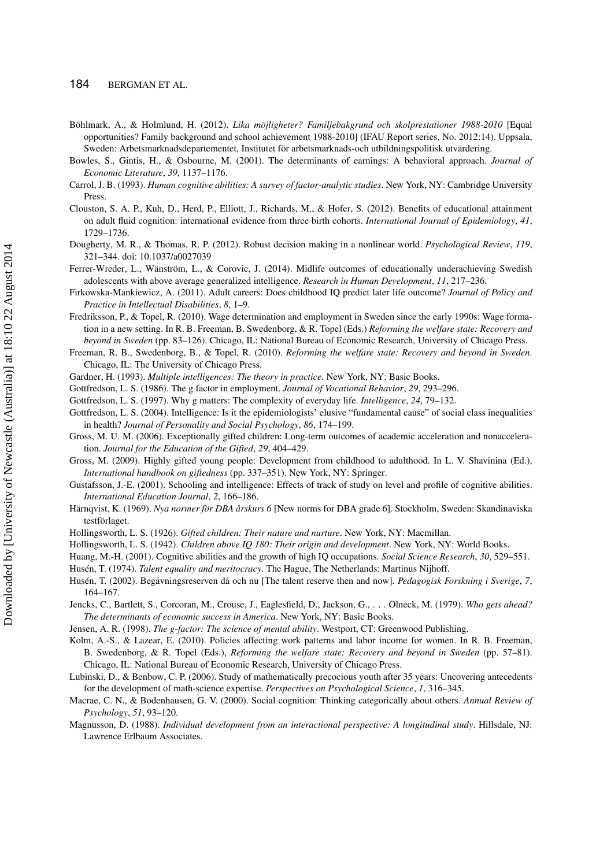- <span id="page-19-16"></span>Böhlmark, A., & Holmlund, H. (2012). *Lika möjligheter? Familjebakgrund och skolprestationer 1988-2010* [Equal opportunities? Family background and school achievement 1988-2010] (IFAU Report series, No. 2012:14). Uppsala, Sweden: Arbetsmarknadsdepartementet, Institutet för arbetsmarknads-och utbildningspolitisk utvärdering.
- <span id="page-19-8"></span>Bowles, S., Gintis, H., & Osbourne, M. (2001). The determinants of earnings: A behavioral approach. *Journal of Economic Literature*, *39*, 1137–1176.
- <span id="page-19-2"></span>Carrol, J. B. (1993). *Human cognitive abilities: A survey of factor-analytic studies*. New York, NY: Cambridge University Press.
- <span id="page-19-5"></span>Clouston, S. A. P., Kuh, D., Herd, P., Elliott, J., Richards, M., & Hofer, S. (2012). Benefits of educational attainment on adult fluid cognition: international evidence from three birth cohorts. *International Journal of Epidemiology*, *41*, 1729–1736.
- <span id="page-19-27"></span>Dougherty, M. R., & Thomas, R. P. (2012). Robust decision making in a nonlinear world. *Psychological Review*, *119*, 321–344. doi: 10.1037/a0027039
- <span id="page-19-25"></span>Ferrer-Wreder, L., Wänström, L., & Corovic, J. (2014). Midlife outcomes of educationally underachieving Swedish adolescents with above average generalized intelligence. *Research in Human Development*, *11*, 217–236.
- <span id="page-19-13"></span>Firkowska-Mankiewicz, A. (2011). Adult careers: Does childhood IQ predict later life outcome? *Journal of Policy and Practice in Intellectual Disabilities*, *8*, 1–9.
- <span id="page-19-17"></span>Fredriksson, P., & Topel, R. (2010). Wage determination and employment in Sweden since the early 1990s: Wage formation in a new setting. In R. B. Freeman, B. Swedenborg, & R. Topel (Eds.) *Reforming the welfare state: Recovery and beyond in Sweden* (pp. 83–126). Chicago, IL: National Bureau of Economic Research, University of Chicago Press.
- <span id="page-19-19"></span>Freeman, R. B., Swedenborg, B., & Topel, R. (2010). *Reforming the welfare state: Recovery and beyond in Sweden*. Chicago, IL: The University of Chicago Press.
- <span id="page-19-3"></span>Gardner, H. (1993). *Multiple intelligences: The theory in practice*. New York, NY: Basic Books.
- <span id="page-19-20"></span>Gottfredson, L. S. (1986). The g factor in employment. *Journal of Vocational Behavior*, *29*, 293–296.
- <span id="page-19-7"></span>Gottfredson, L. S. (1997). Why g matters: The complexity of everyday life. *Intelligence*, *24*, 79–132.
- <span id="page-19-0"></span>Gottfredson, L. S. (2004). Intelligence: Is it the epidemiologists' elusive "fundamental cause" of social class inequalities in health? *Journal of Personality and Social Psychology*, *86*, 174–199.
- <span id="page-19-10"></span>Gross, M. U. M. (2006). Exceptionally gifted children: Long-term outcomes of academic acceleration and nonacceleration. *Journal for the Education of the Gifted*, *29*, 404–429.
- <span id="page-19-24"></span>Gross, M. (2009). Highly gifted young people: Development from childhood to adulthood. In L. V. Shavinina (Ed.), *International handbook on giftedness* (pp. 337–351). New York, NY: Springer.
- <span id="page-19-4"></span>Gustafsson, J.-E. (2001). Schooling and intelligence: Effects of track of study on level and profile of cognitive abilities. *International Education Journal*, *2*, 166–186.
- <span id="page-19-22"></span>Härnqvist, K. (1969). *Nya normer för DBA årskurs 6* [New norms for DBA grade 6]. Stockholm, Sweden: Skandinaviska testförlaget.
- <span id="page-19-26"></span>Hollingsworth, L. S. (1926). *Gifted children: Their nature and nurture*. New York, NY: Macmillan.
- <span id="page-19-11"></span>Hollingsworth, L. S. (1942). *Children above IQ 180: Their origin and development*. New York, NY: World Books.
- <span id="page-19-23"></span><span id="page-19-15"></span>Huang, M.-H. (2001). Cognitive abilities and the growth of high IQ occupations. *Social Science Research*, *30*, 529–551. Husén, T. (1974). *Talent equality and meritocracy*. The Hague, The Netherlands: Martinus Nijhoff.
- <span id="page-19-14"></span>Husén, T. (2002). Begåvningsreserven då och nu [The talent reserve then and now]. *Pedagogisk Forskning i Sverige*, *7*,

- <span id="page-19-9"></span>Jencks, C., Bartlett, S., Corcoran, M., Crouse, J., Eaglesfield, D., Jackson, G., ... Olneck, M. (1979). *Who gets ahead? The determinants of economic success in America*. New York, NY: Basic Books.
- <span id="page-19-1"></span>Jensen, A. R. (1998). *The g-factor: The science of mental ability*. Westport, CT: Greenwood Publishing.
- <span id="page-19-18"></span>Kolm, A.-S., & Lazear, E. (2010). Policies affecting work patterns and labor income for women. In R. B. Freeman, B. Swedenborg, & R. Topel (Eds.), *Reforming the welfare state: Recovery and beyond in Sweden* (pp. 57–81). Chicago, IL: National Bureau of Economic Research, University of Chicago Press.
- <span id="page-19-12"></span>Lubinski, D., & Benbow, C. P. (2006). Study of mathematically precocious youth after 35 years: Uncovering antecedents for the development of math-science expertise. *Perspectives on Psychological Science*, *1*, 316–345.
- <span id="page-19-21"></span>Macrae, C. N., & Bodenhausen, G. V. (2000). Social cognition: Thinking categorically about others. *Annual Review of Psychology*, *51*, 93–120.
- <span id="page-19-6"></span>Magnusson, D. (1988). *Individual development from an interactional perspective: A longitudinal study*. Hillsdale, NJ: Lawrence Erlbaum Associates.

<sup>164–167.</sup>